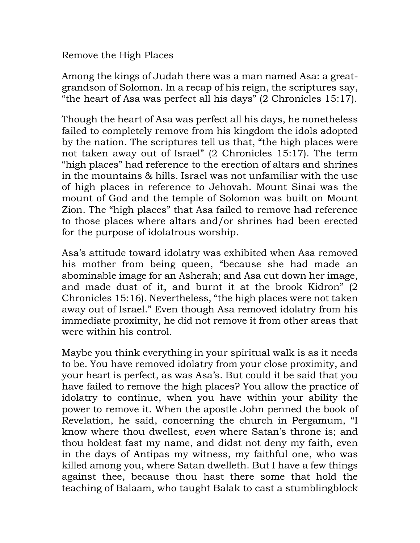Remove the High Places

Among the kings of Judah there was a man named Asa: a greatgrandson of Solomon. In a recap of his reign, the scriptures say, "the heart of Asa was perfect all his days" (2 Chronicles 15:17).

Though the heart of Asa was perfect all his days, he nonetheless failed to completely remove from his kingdom the idols adopted by the nation. The scriptures tell us that, "the high places were not taken away out of Israel" (2 Chronicles 15:17). The term "high places" had reference to the erection of altars and shrines in the mountains & hills. Israel was not unfamiliar with the use of high places in reference to Jehovah. Mount Sinai was the mount of God and the temple of Solomon was built on Mount Zion. The "high places" that Asa failed to remove had reference to those places where altars and/or shrines had been erected for the purpose of idolatrous worship.

Asa's attitude toward idolatry was exhibited when Asa removed his mother from being queen, "because she had made an abominable image for an Asherah; and Asa cut down her image, and made dust of it, and burnt it at the brook Kidron" (2 Chronicles 15:16). Nevertheless, "the high places were not taken away out of Israel." Even though Asa removed idolatry from his immediate proximity, he did not remove it from other areas that were within his control.

Maybe you think everything in your spiritual walk is as it needs to be. You have removed idolatry from your close proximity, and your heart is perfect, as was Asa's. But could it be said that you have failed to remove the high places? You allow the practice of idolatry to continue, when you have within your ability the power to remove it. When the apostle John penned the book of Revelation, he said, concerning the church in Pergamum, "I know where thou dwellest, *even* where Satan's throne is; and thou holdest fast my name, and didst not deny my faith, even in the days of Antipas my witness, my faithful one, who was killed among you, where Satan dwelleth. But I have a few things against thee, because thou hast there some that hold the teaching of Balaam, who taught Balak to cast a stumblingblock